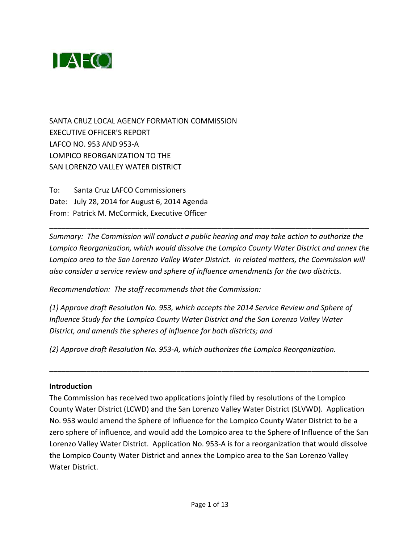

SANTA CRUZ LOCAL AGENCY FORMATION COMMISSION EXECUTIVE OFFICER'S REPORT LAFCO NO. 953 AND 953‐A LOMPICO REORGANIZATION TO THE SAN LORENZO VALLEY WATER DISTRICT

To: Santa Cruz LAFCO Commissioners Date: July 28, 2014 for August 6, 2014 Agenda From: Patrick M. McCormick, Executive Officer

*Summary: The Commission will conduct a public hearing and may take action to authorize the Lompico Reorganization, which would dissolve the Lompico County Water District and annex the Lompico area to the San Lorenzo Valley Water District. In related matters, the Commission will also consider a service review and sphere of influence amendments for the two districts.*

\_\_\_\_\_\_\_\_\_\_\_\_\_\_\_\_\_\_\_\_\_\_\_\_\_\_\_\_\_\_\_\_\_\_\_\_\_\_\_\_\_\_\_\_\_\_\_\_\_\_\_\_\_\_\_\_\_\_\_\_\_\_\_\_\_\_\_\_\_\_\_\_\_\_\_\_\_\_

*Recommendation: The staff recommends that the Commission:*

*(1) Approve draft Resolution No. 953, which accepts the 2014 Service Review and Sphere of Influence Study for the Lompico County Water District and the San Lorenzo Valley Water District, and amends the spheres of influence for both districts; and*

*(2) Approve draft Resolution No. 953‐A, which authorizes the Lompico Reorganization.*

#### **Introduction**

The Commission has received two applications jointly filed by resolutions of the Lompico County Water District (LCWD) and the San Lorenzo Valley Water District (SLVWD). Application No. 953 would amend the Sphere of Influence for the Lompico County Water District to be a zero sphere of influence, and would add the Lompico area to the Sphere of Influence of the San Lorenzo Valley Water District. Application No. 953‐A is for a reorganization that would dissolve the Lompico County Water District and annex the Lompico area to the San Lorenzo Valley Water District.

\_\_\_\_\_\_\_\_\_\_\_\_\_\_\_\_\_\_\_\_\_\_\_\_\_\_\_\_\_\_\_\_\_\_\_\_\_\_\_\_\_\_\_\_\_\_\_\_\_\_\_\_\_\_\_\_\_\_\_\_\_\_\_\_\_\_\_\_\_\_\_\_\_\_\_\_\_\_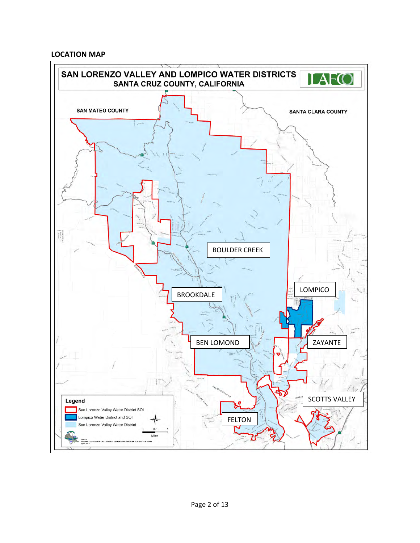#### **LOCATION MAP**

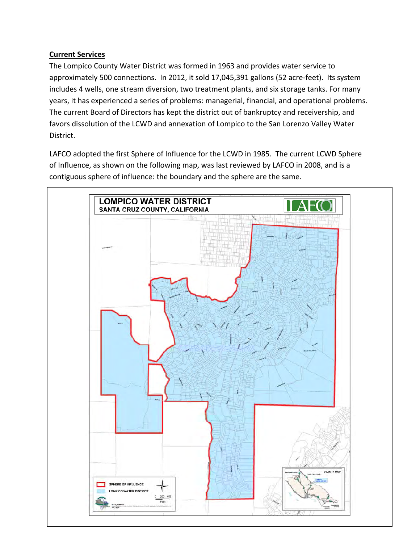## **Current Services**

The Lompico County Water District was formed in 1963 and provides water service to approximately 500 connections. In 2012, it sold 17,045,391 gallons (52 acre-feet). Its system includes 4 wells, one stream diversion, two treatment plants, and six storage tanks. For many years, it has experienced a series of problems: managerial, financial, and operational problems. The current Board of Directors has kept the district out of bankruptcy and receivership, and favors dissolution of the LCWD and annexation of Lompico to the San Lorenzo Valley Water District.

LAFCO adopted the first Sphere of Influence for the LCWD in 1985. The current LCWD Sphere of Influence, as shown on the following map, was last reviewed by LAFCO in 2008, and is a contiguous sphere of influence: the boundary and the sphere are the same.

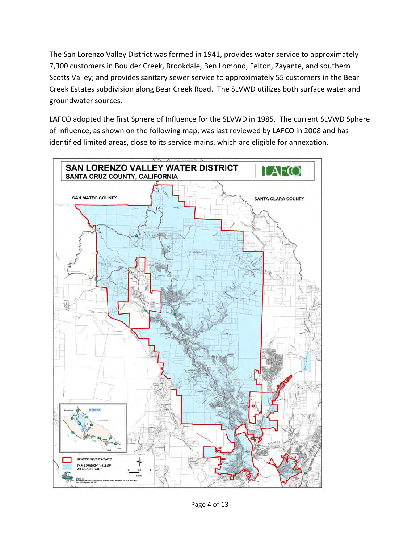The San Lorenzo Valley District was formed in 1941, provides water service to approximately 7,300 customers in Boulder Creek, Brookdale, Ben Lomond, Felton, Zayante, and southern Scotts Valley; and provides sanitary sewer service to approximately 55 customers in the Bear Creek Estates subdivision along Bear Creek Road. The SLVWD utilizes both surface water and groundwater sources.

LAFCO adopted the first Sphere of Influence for the SLVWD in 1985. The current SLVWD Sphere of Influence, as shown on the following map, was last reviewed by LAFCO in 2008 and has identified limited areas, close to its service mains, which are eligible for annexation.

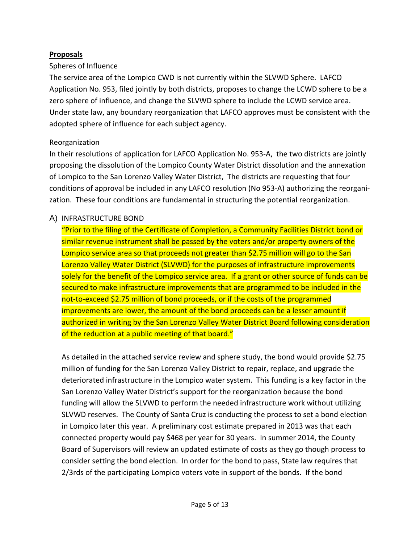## **Proposals**

#### Spheres of Influence

The service area of the Lompico CWD is not currently within the SLVWD Sphere. LAFCO Application No. 953, filed jointly by both districts, proposes to change the LCWD sphere to be a zero sphere of influence, and change the SLVWD sphere to include the LCWD service area. Under state law, any boundary reorganization that LAFCO approves must be consistent with the adopted sphere of influence for each subject agency.

## Reorganization

In their resolutions of application for LAFCO Application No. 953‐A, the two districts are jointly proposing the dissolution of the Lompico County Water District dissolution and the annexation of Lompico to the San Lorenzo Valley Water District, The districts are requesting that four conditions of approval be included in any LAFCO resolution (No 953‐A) authorizing the reorgani‐ zation. These four conditions are fundamental in structuring the potential reorganization.

# A) INFRASTRUCTURE BOND

"Prior to the filing of the Certificate of Completion, a Community Facilities District bond or similar revenue instrument shall be passed by the voters and/or property owners of the Lompico service area so that proceeds not greater than \$2.75 million will go to the San Lorenzo Valley Water District (SLVWD) for the purposes of infrastructure improvements solely for the benefit of the Lompico service area. If a grant or other source of funds can be secured to make infrastructure improvements that are programmed to be included in the not-to-exceed \$2.75 million of bond proceeds, or if the costs of the programmed improvements are lower, the amount of the bond proceeds can be a lesser amount if authorized in writing by the San Lorenzo Valley Water District Board following consideration of the reduction at a public meeting of that board."

As detailed in the attached service review and sphere study, the bond would provide \$2.75 million of funding for the San Lorenzo Valley District to repair, replace, and upgrade the deteriorated infrastructure in the Lompico water system. This funding is a key factor in the San Lorenzo Valley Water District's support for the reorganization because the bond funding will allow the SLVWD to perform the needed infrastructure work without utilizing SLVWD reserves. The County of Santa Cruz is conducting the process to set a bond election in Lompico later this year. A preliminary cost estimate prepared in 2013 was that each connected property would pay \$468 per year for 30 years. In summer 2014, the County Board of Supervisors will review an updated estimate of costs as they go though process to consider setting the bond election. In order for the bond to pass, State law requires that 2/3rds of the participating Lompico voters vote in support of the bonds. If the bond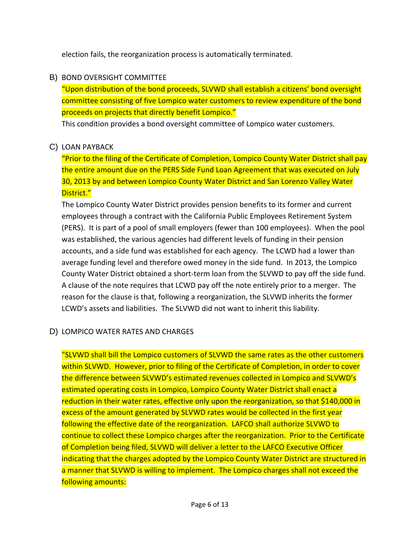election fails, the reorganization process is automatically terminated.

## B) BOND OVERSIGHT COMMITTEE

"Upon distribution of the bond proceeds, SLVWD shall establish a citizens' bond oversight committee consisting of five Lompico water customers to review expenditure of the bond proceeds on projects that directly benefit Lompico."

This condition provides a bond oversight committee of Lompico water customers.

## C) LOAN PAYBACK

"Prior to the filing of the Certificate of Completion, Lompico County Water District shall pay the entire amount due on the PERS Side Fund Loan Agreement that was executed on July 30, 2013 by and between Lompico County Water District and San Lorenzo Valley Water District."

The Lompico County Water District provides pension benefits to its former and current employees through a contract with the California Public Employees Retirement System (PERS). It is part of a pool of small employers (fewer than 100 employees). When the pool was established, the various agencies had different levels of funding in their pension accounts, and a side fund was established for each agency. The LCWD had a lower than average funding level and therefore owed money in the side fund. In 2013, the Lompico County Water District obtained a short‐term loan from the SLVWD to pay off the side fund. A clause of the note requires that LCWD pay off the note entirely prior to a merger. The reason for the clause is that, following a reorganization, the SLVWD inherits the former LCWD's assets and liabilities. The SLVWD did not want to inherit this liability.

# D) LOMPICO WATER RATES AND CHARGES

"SLVWD shall bill the Lompico customers of SLVWD the same rates as the other customers within SLVWD. However, prior to filing of the Certificate of Completion, in order to cover the difference between SLVWD's estimated revenues collected in Lompico and SLVWD's estimated operating costs in Lompico, Lompico County Water District shall enact a reduction in their water rates, effective only upon the reorganization, so that \$140,000 in excess of the amount generated by SLVWD rates would be collected in the first year following the effective date of the reorganization. LAFCO shall authorize SLVWD to continue to collect these Lompico charges after the reorganization. Prior to the Certificate of Completion being filed, SLVWD will deliver a letter to the LAFCO Executive Officer indicating that the charges adopted by the Lompico County Water District are structured in a manner that SLVWD is willing to implement. The Lompico charges shall not exceed the following amounts: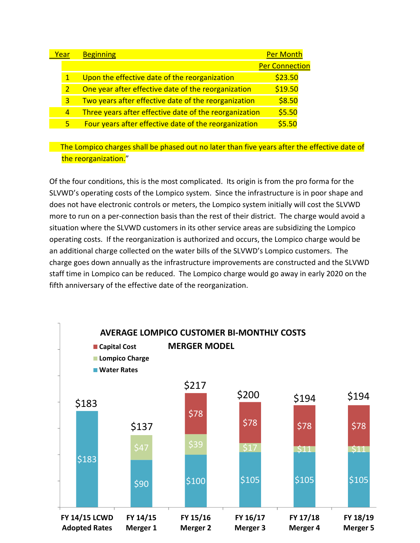| 'ear |                | <b>Beginning</b>                                       | <b>Per Month</b>      |
|------|----------------|--------------------------------------------------------|-----------------------|
|      |                |                                                        | <b>Per Connection</b> |
|      | $\mathbf{1}$   | Upon the effective date of the reorganization          | \$23.50               |
|      | 2              | One year after effective date of the reorganization    | \$19.50               |
|      | 3              | Two years after effective date of the reorganization   | \$8.50                |
|      | $\overline{4}$ | Three years after effective date of the reorganization | \$5.50                |
|      | 5              | Four years after effective date of the reorganization  | 55.50                 |

The Lompico charges shall be phased out no later than five years after the effective date of the reorganization."

Of the four conditions, this is the most complicated. Its origin is from the pro forma for the SLVWD's operating costs of the Lompico system. Since the infrastructure is in poor shape and does not have electronic controls or meters, the Lompico system initially will cost the SLVWD more to run on a per-connection basis than the rest of their district. The charge would avoid a situation where the SLVWD customers in its other service areas are subsidizing the Lompico operating costs. If the reorganization is authorized and occurs, the Lompico charge would be an additional charge collected on the water bills of the SLVWD's Lompico customers. The charge goes down annually as the infrastructure improvements are constructed and the SLVWD staff time in Lompico can be reduced. The Lompico charge would go away in early 2020 on the fifth anniversary of the effective date of the reorganization.

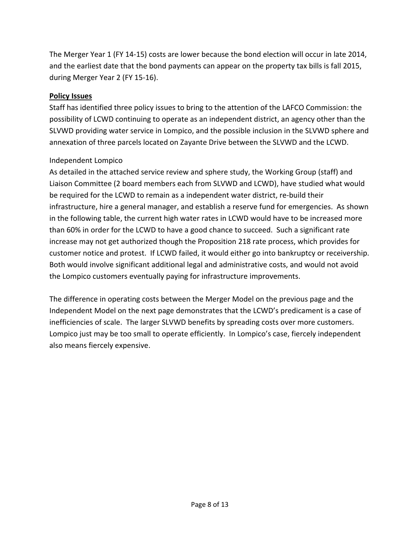The Merger Year 1 (FY 14‐15) costs are lower because the bond election will occur in late 2014, and the earliest date that the bond payments can appear on the property tax bills is fall 2015, during Merger Year 2 (FY 15‐16).

## **Policy Issues**

Staff has identified three policy issues to bring to the attention of the LAFCO Commission: the possibility of LCWD continuing to operate as an independent district, an agency other than the SLVWD providing water service in Lompico, and the possible inclusion in the SLVWD sphere and annexation of three parcels located on Zayante Drive between the SLVWD and the LCWD.

# Independent Lompico

As detailed in the attached service review and sphere study, the Working Group (staff) and Liaison Committee (2 board members each from SLVWD and LCWD), have studied what would be required for the LCWD to remain as a independent water district, re‐build their infrastructure, hire a general manager, and establish a reserve fund for emergencies. As shown in the following table, the current high water rates in LCWD would have to be increased more than 60% in order for the LCWD to have a good chance to succeed. Such a significant rate increase may not get authorized though the Proposition 218 rate process, which provides for customer notice and protest. If LCWD failed, it would either go into bankruptcy or receivership. Both would involve significant additional legal and administrative costs, and would not avoid the Lompico customers eventually paying for infrastructure improvements.

The difference in operating costs between the Merger Model on the previous page and the Independent Model on the next page demonstrates that the LCWD's predicament is a case of inefficiencies of scale. The larger SLVWD benefits by spreading costs over more customers. Lompico just may be too small to operate efficiently. In Lompico's case, fiercely independent also means fiercely expensive.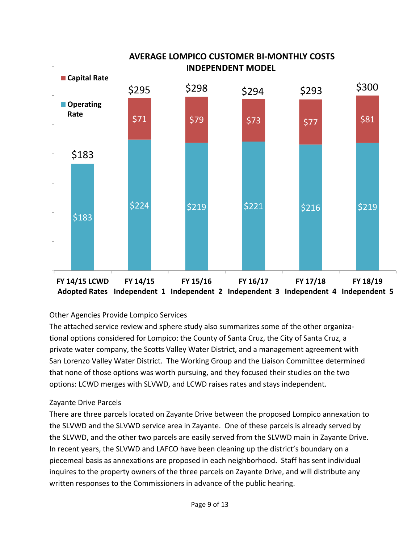

# Other Agencies Provide Lompico Services

The attached service review and sphere study also summarizes some of the other organiza‐ tional options considered for Lompico: the County of Santa Cruz, the City of Santa Cruz, a private water company, the Scotts Valley Water District, and a management agreement with San Lorenzo Valley Water District. The Working Group and the Liaison Committee determined that none of those options was worth pursuing, and they focused their studies on the two options: LCWD merges with SLVWD, and LCWD raises rates and stays independent.

#### Zayante Drive Parcels

There are three parcels located on Zayante Drive between the proposed Lompico annexation to the SLVWD and the SLVWD service area in Zayante. One of these parcels is already served by the SLVWD, and the other two parcels are easily served from the SLVWD main in Zayante Drive. In recent years, the SLVWD and LAFCO have been cleaning up the district's boundary on a piecemeal basis as annexations are proposed in each neighborhood. Staff has sent individual inquires to the property owners of the three parcels on Zayante Drive, and will distribute any written responses to the Commissioners in advance of the public hearing.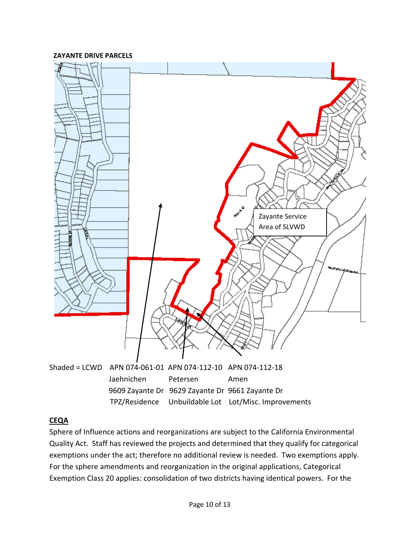



#### **CEQA**

Sphere of Influence actions and reorganizations are subject to the California Environmental Quality Act. Staff has reviewed the projects and determined that they qualify for categorical exemptions under the act; therefore no additional review is needed. Two exemptions apply. For the sphere amendments and reorganization in the original applications, Categorical Exemption Class 20 applies: consolidation of two districts having identical powers. For the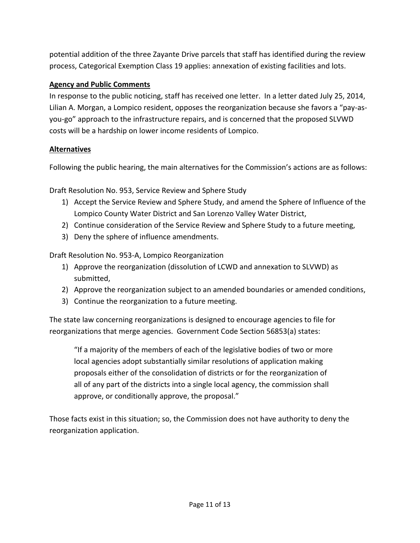potential addition of the three Zayante Drive parcels that staff has identified during the review process, Categorical Exemption Class 19 applies: annexation of existing facilities and lots.

# **Agency and Public Comments**

In response to the public noticing, staff has received one letter. In a letter dated July 25, 2014, Lilian A. Morgan, a Lompico resident, opposes the reorganization because she favors a "pay‐as‐ you‐go" approach to the infrastructure repairs, and is concerned that the proposed SLVWD costs will be a hardship on lower income residents of Lompico.

## **Alternatives**

Following the public hearing, the main alternatives for the Commission's actions are as follows:

Draft Resolution No. 953, Service Review and Sphere Study

- 1) Accept the Service Review and Sphere Study, and amend the Sphere of Influence of the Lompico County Water District and San Lorenzo Valley Water District,
- 2) Continue consideration of the Service Review and Sphere Study to a future meeting,
- 3) Deny the sphere of influence amendments.

Draft Resolution No. 953‐A, Lompico Reorganization

- 1) Approve the reorganization (dissolution of LCWD and annexation to SLVWD) as submitted,
- 2) Approve the reorganization subject to an amended boundaries or amended conditions,
- 3) Continue the reorganization to a future meeting.

The state law concerning reorganizations is designed to encourage agencies to file for reorganizations that merge agencies. Government Code Section 56853(a) states:

"If a majority of the members of each of the legislative bodies of two or more local agencies adopt substantially similar resolutions of application making proposals either of the consolidation of districts or for the reorganization of all of any part of the districts into a single local agency, the commission shall approve, or conditionally approve, the proposal."

Those facts exist in this situation; so, the Commission does not have authority to deny the reorganization application.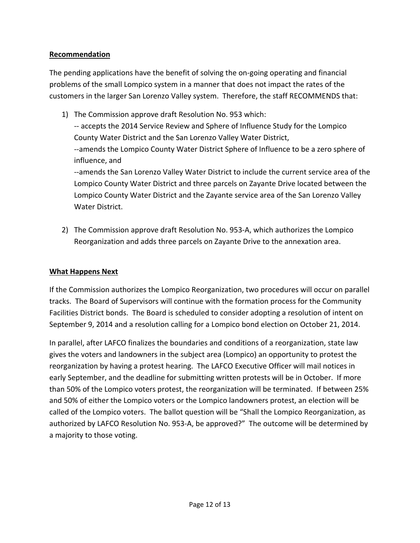## **Recommendation**

The pending applications have the benefit of solving the on‐going operating and financial problems of the small Lompico system in a manner that does not impact the rates of the customers in the larger San Lorenzo Valley system. Therefore, the staff RECOMMENDS that:

- 1) The Commission approve draft Resolution No. 953 which: ‐‐ accepts the 2014 Service Review and Sphere of Influence Study for the Lompico County Water District and the San Lorenzo Valley Water District, ‐‐amends the Lompico County Water District Sphere of Influence to be a zero sphere of influence, and ‐‐amends the San Lorenzo Valley Water District to include the current service area of the Lompico County Water District and three parcels on Zayante Drive located between the Lompico County Water District and the Zayante service area of the San Lorenzo Valley Water District.
- 2) The Commission approve draft Resolution No. 953‐A, which authorizes the Lompico Reorganization and adds three parcels on Zayante Drive to the annexation area.

## **What Happens Next**

If the Commission authorizes the Lompico Reorganization, two procedures will occur on parallel tracks. The Board of Supervisors will continue with the formation process for the Community Facilities District bonds. The Board is scheduled to consider adopting a resolution of intent on September 9, 2014 and a resolution calling for a Lompico bond election on October 21, 2014.

In parallel, after LAFCO finalizes the boundaries and conditions of a reorganization, state law gives the voters and landowners in the subject area (Lompico) an opportunity to protest the reorganization by having a protest hearing. The LAFCO Executive Officer will mail notices in early September, and the deadline for submitting written protests will be in October. If more than 50% of the Lompico voters protest, the reorganization will be terminated. If between 25% and 50% of either the Lompico voters or the Lompico landowners protest, an election will be called of the Lompico voters. The ballot question will be "Shall the Lompico Reorganization, as authorized by LAFCO Resolution No. 953‐A, be approved?" The outcome will be determined by a majority to those voting.